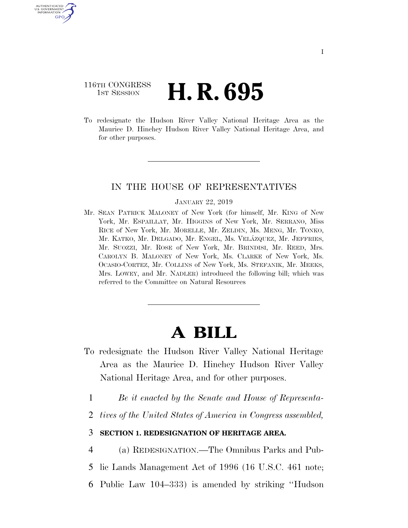# 116TH CONGRESS **1st Session H. R. 695**

U.S. GOVERNMENT GPO

> To redesignate the Hudson River Valley National Heritage Area as the Maurice D. Hinchey Hudson River Valley National Heritage Area, and for other purposes.

### IN THE HOUSE OF REPRESENTATIVES

#### JANUARY 22, 2019

Mr. SEAN PATRICK MALONEY of New York (for himself, Mr. KING of New York, Mr. ESPAILLAT, Mr. HIGGINS of New York, Mr. SERRANO, Miss RICE of New York, Mr. MORELLE, Mr. ZELDIN, Ms. MENG, Mr. TONKO, Mr. KATKO, Mr. DELGADO, Mr. ENGEL, Ms. VELÁZQUEZ, Mr. JEFFRIES, Mr. SUOZZI, Mr. ROSE of New York, Mr. BRINDISI, Mr. REED, Mrs. CAROLYN B. MALONEY of New York, Ms. CLARKE of New York, Ms. OCASIO-CORTEZ, Mr. COLLINS of New York, Ms. STEFANIK, Mr. MEEKS, Mrs. LOWEY, and Mr. NADLER) introduced the following bill; which was referred to the Committee on Natural Resources

# **A BILL**

- To redesignate the Hudson River Valley National Heritage Area as the Maurice D. Hinchey Hudson River Valley National Heritage Area, and for other purposes.
	- 1 *Be it enacted by the Senate and House of Representa-*
	- 2 *tives of the United States of America in Congress assembled,*

## 3 **SECTION 1. REDESIGNATION OF HERITAGE AREA.**

4 (a) REDESIGNATION.—The Omnibus Parks and Pub-

- 5 lic Lands Management Act of 1996 (16 U.S.C. 461 note;
- 6 Public Law 104–333) is amended by striking ''Hudson